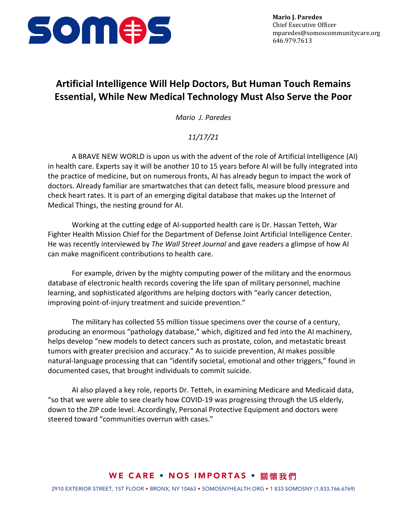

## **Artificial Intelligence Will Help Doctors, But Human Touch Remains Essential, While New Medical Technology Must Also Serve the Poor**

*Mario J. Paredes*

## *11/17/21*

A BRAVE NEW WORLD is upon us with the advent of the role of Artificial Intelligence (AI) in health care. Experts say it will be another 10 to 15 years before AI will be fully integrated into the practice of medicine, but on numerous fronts, AI has already begun to impact the work of doctors. Already familiar are smartwatches that can detect falls, measure blood pressure and check heart rates. It is part of an emerging digital database that makes up the Internet of Medical Things, the nesting ground for AI.

Working at the cutting edge of AI-supported health care is Dr. Hassan Tetteh, War Fighter Health Mission Chief for the Department of Defense Joint Artificial Intelligence Center. He was recently interviewed by *The Wall Street Journal* and gave readers a glimpse of how AI can make magnificent contributions to health care.

For example, driven by the mighty computing power of the military and the enormous database of electronic health records covering the life span of military personnel, machine learning, and sophisticated algorithms are helping doctors with "early cancer detection, improving point-of-injury treatment and suicide prevention."

The military has collected 55 million tissue specimens over the course of a century, producing an enormous "pathology database," which, digitized and fed into the AI machinery, helps develop "new models to detect cancers such as prostate, colon, and metastatic breast tumors with greater precision and accuracy." As to suicide prevention, AI makes possible natural-language processing that can "identify societal, emotional and other triggers," found in documented cases, that brought individuals to commit suicide.

AI also played a key role, reports Dr. Tetteh, in examining Medicare and Medicaid data, "so that we were able to see clearly how COVID-19 was progressing through the US elderly, down to the ZIP code level. Accordingly, Personal Protective Equipment and doctors were steered toward "communities overrun with cases."

## WE CARE • NOS IMPORTAS • 關懷我們

2910 EXTERIOR STREET, 1ST FLOOR • BRONX, NY 10463 • SOMOSNYHEALTH.ORG • 1 833 SOMOSNY (1.833.766.6769)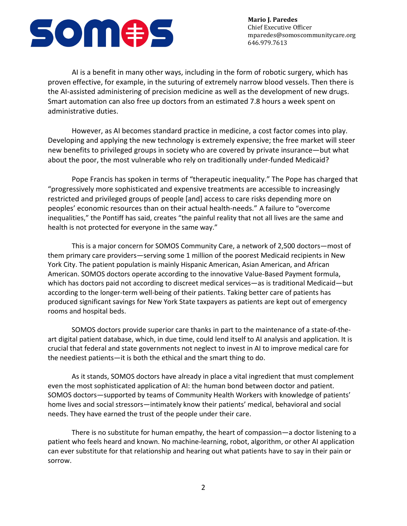

**Mario J. Paredes** Chief Executive Officer mparedes@somoscommunitycare.org 646.979.7613

AI is a benefit in many other ways, including in the form of robotic surgery, which has proven effective, for example, in the suturing of extremely narrow blood vessels. Then there is the AI-assisted administering of precision medicine as well as the development of new drugs. Smart automation can also free up doctors from an estimated 7.8 hours a week spent on administrative duties.

However, as AI becomes standard practice in medicine, a cost factor comes into play. Developing and applying the new technology is extremely expensive; the free market will steer new benefits to privileged groups in society who are covered by private insurance—but what about the poor, the most vulnerable who rely on traditionally under-funded Medicaid?

Pope Francis has spoken in terms of "therapeutic inequality." The Pope has charged that "progressively more sophisticated and expensive treatments are accessible to increasingly restricted and privileged groups of people [and] access to care risks depending more on peoples' economic resources than on their actual health-needs." A failure to "overcome inequalities," the Pontiff has said, creates "the painful reality that not all lives are the same and health is not protected for everyone in the same way."

This is a major concern for SOMOS Community Care, a network of 2,500 doctors—most of them primary care providers—serving some 1 million of the poorest Medicaid recipients in New York City. The patient population is mainly Hispanic American, Asian American, and African American. SOMOS doctors operate according to the innovative Value-Based Payment formula, which has doctors paid not according to discreet medical services—as is traditional Medicaid—but according to the longer-term well-being of their patients. Taking better care of patients has produced significant savings for New York State taxpayers as patients are kept out of emergency rooms and hospital beds.

SOMOS doctors provide superior care thanks in part to the maintenance of a state-of-theart digital patient database, which, in due time, could lend itself to AI analysis and application. It is crucial that federal and state governments not neglect to invest in AI to improve medical care for the neediest patients—it is both the ethical and the smart thing to do.

As it stands, SOMOS doctors have already in place a vital ingredient that must complement even the most sophisticated application of AI: the human bond between doctor and patient. SOMOS doctors—supported by teams of Community Health Workers with knowledge of patients' home lives and social stressors—intimately know their patients' medical, behavioral and social needs. They have earned the trust of the people under their care.

There is no substitute for human empathy, the heart of compassion—a doctor listening to a patient who feels heard and known. No machine-learning, robot, algorithm, or other AI application can ever substitute for that relationship and hearing out what patients have to say in their pain or sorrow.